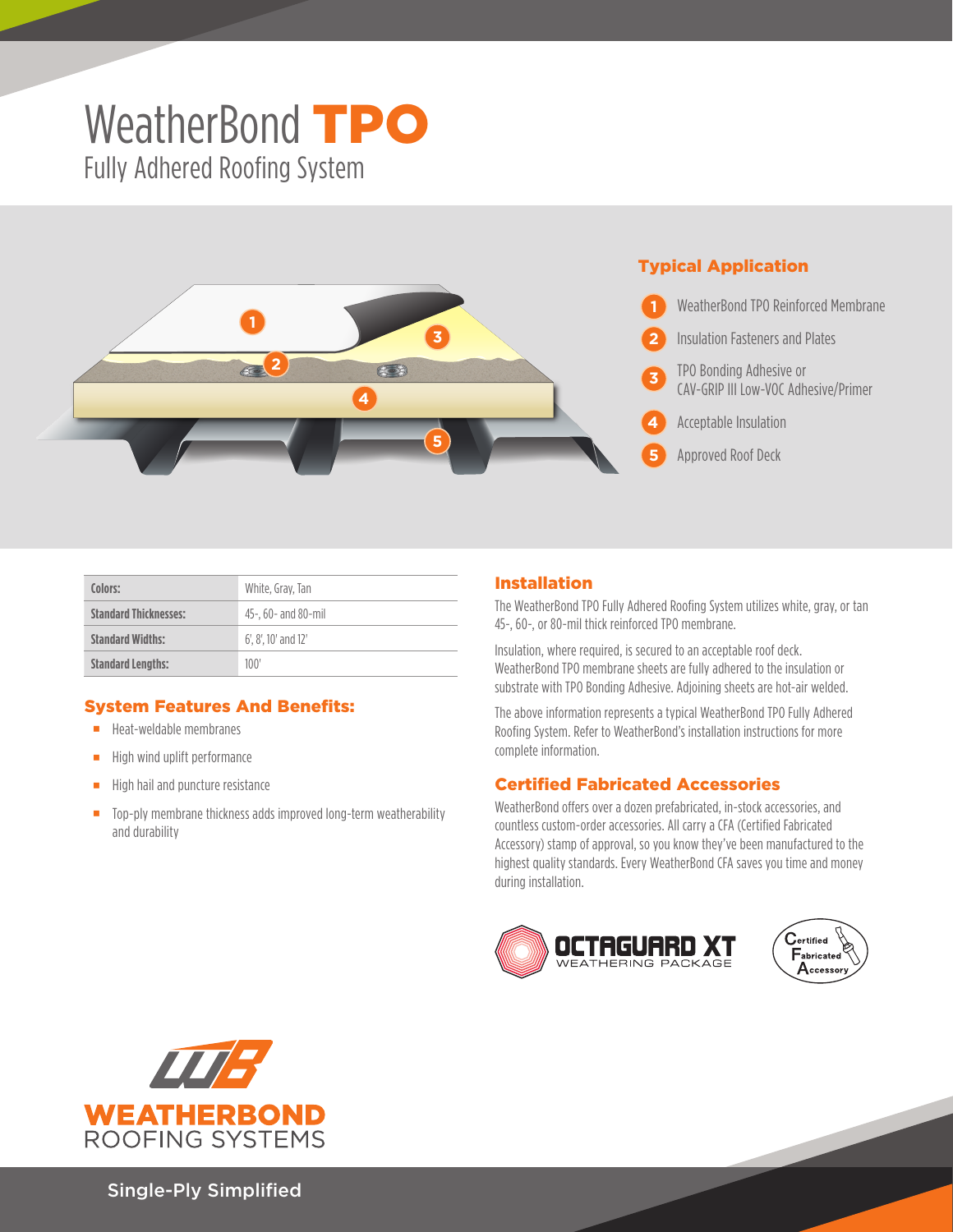## WeatherBond **TPO** Fully Adhered Roofing System



| Colors:                      | White, Gray, Tan              |  |  |
|------------------------------|-------------------------------|--|--|
| <b>Standard Thicknesses:</b> | 45-, 60- and 80-mil           |  |  |
| <b>Standard Widths:</b>      | $6'$ , $8'$ , $10'$ and $12'$ |  |  |
| <b>Standard Lengths:</b>     | 100'                          |  |  |

## System Features And Benefits:

- **Heat-weldable membranes**
- $\blacksquare$  High wind uplift performance
- $\blacksquare$  High hail and puncture resistance
- Top-ply membrane thickness adds improved long-term weatherability and durability

## Installation

The WeatherBond TPO Fully Adhered Roofing System utilizes white, gray, or tan 45-, 60-, or 80-mil thick reinforced TPO membrane.

Insulation, where required, is secured to an acceptable roof deck. WeatherBond TPO membrane sheets are fully adhered to the insulation or substrate with TPO Bonding Adhesive. Adjoining sheets are hot-air welded.

The above information represents a typical WeatherBond TPO Fully Adhered Roofing System. Refer to WeatherBond's installation instructions for more complete information.

## Certified Fabricated Accessories

WeatherBond offers over a dozen prefabricated, in-stock accessories, and countless custom-order accessories. All carry a CFA (Certified Fabricated Accessory) stamp of approval, so you know they've been manufactured to the highest quality standards. Every WeatherBond CFA saves you time and money during installation.







Single-Ply Simplified